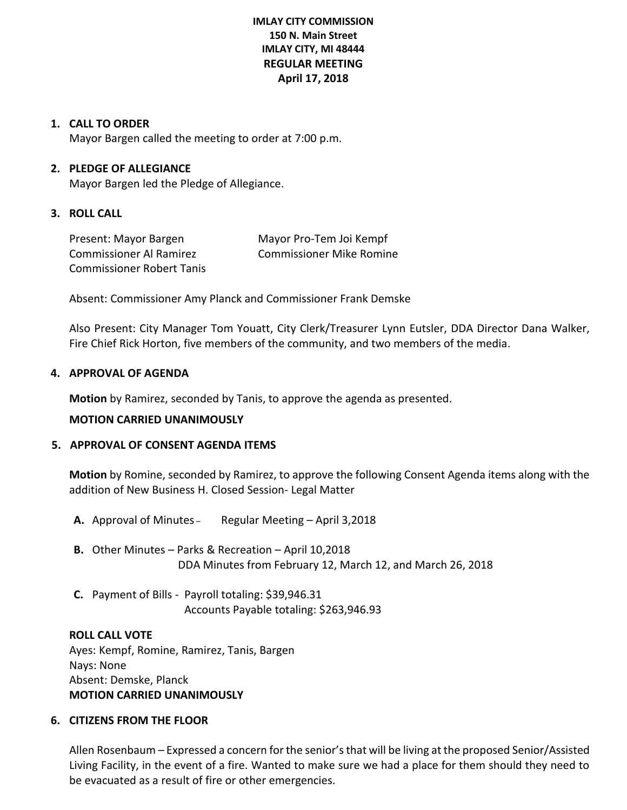# **IMLAY CITY COMMISSION 150 N. Main Street IMLAY CITY, MI 48444 REGULAR MEETING April 17, 2018**

# **1. CALL TO ORDER**

Mayor Bargen called the meeting to order at 7:00 p.m.

## **2. PLEDGE OF ALLEGIANCE**

Mayor Bargen led the Pledge of Allegiance.

### **3. ROLL CALL**

Present: Mayor Bargen Mayor Pro-Tem Joi Kempf Commissioner Al Ramirez Commissioner Mike Romine Commissioner Robert Tanis

Absent: Commissioner Amy Planck and Commissioner Frank Demske

Also Present: City Manager Tom Youatt, City Clerk/Treasurer Lynn Eutsler, DDA Director Dana Walker, Fire Chief Rick Horton, five members of the community, and two members of the media.

### **4. APPROVAL OF AGENDA**

**Motion** by Ramirez, seconded by Tanis, to approve the agenda as presented.

### **MOTION CARRIED UNANIMOUSLY**

# **5. APPROVAL OF CONSENT AGENDA ITEMS**

**Motion** by Romine, seconded by Ramirez, to approve the following Consent Agenda items along with the addition of New Business H. Closed Session- Legal Matter

- **A.** Approval of Minutes Regular Meeting April 3,2018
- **B.** Other Minutes Parks & Recreation April 10,2018 DDA Minutes from February 12, March 12, and March 26, 2018
- **C.** Payment of Bills Payroll totaling: \$39,946.31 Accounts Payable totaling: \$263,946.93

### **ROLL CALL VOTE**

Ayes: Kempf, Romine, Ramirez, Tanis, Bargen Nays: None Absent: Demske, Planck **MOTION CARRIED UNANIMOUSLY**

## **6. CITIZENS FROM THE FLOOR**

Allen Rosenbaum – Expressed a concern for the senior'sthat will be living at the proposed Senior/Assisted Living Facility, in the event of a fire. Wanted to make sure we had a place for them should they need to be evacuated as a result of fire or other emergencies.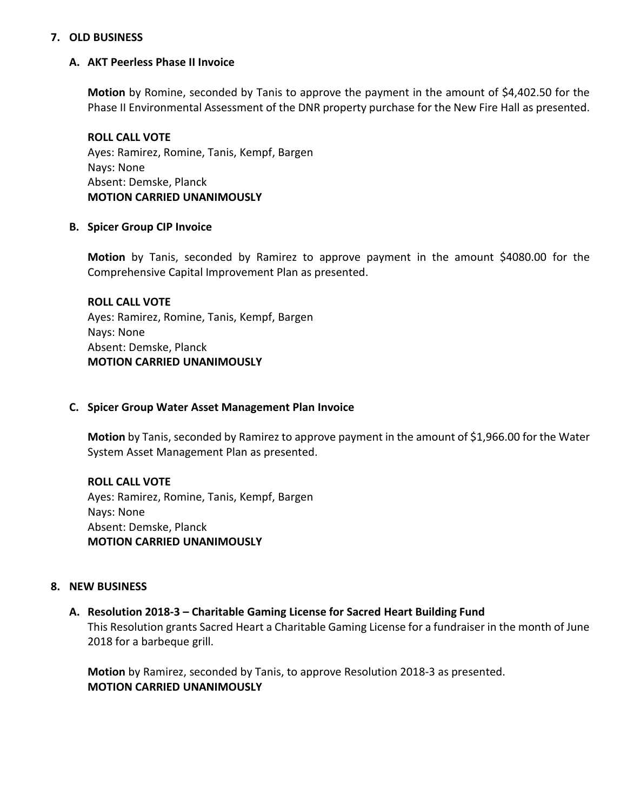## **7. OLD BUSINESS**

## **A. AKT Peerless Phase II Invoice**

**Motion** by Romine, seconded by Tanis to approve the payment in the amount of \$4,402.50 for the Phase II Environmental Assessment of the DNR property purchase for the New Fire Hall as presented.

**ROLL CALL VOTE** Ayes: Ramirez, Romine, Tanis, Kempf, Bargen Nays: None Absent: Demske, Planck **MOTION CARRIED UNANIMOUSLY**

### **B. Spicer Group CIP Invoice**

**Motion** by Tanis, seconded by Ramirez to approve payment in the amount \$4080.00 for the Comprehensive Capital Improvement Plan as presented.

**ROLL CALL VOTE** Ayes: Ramirez, Romine, Tanis, Kempf, Bargen Nays: None Absent: Demske, Planck **MOTION CARRIED UNANIMOUSLY**

### **C. Spicer Group Water Asset Management Plan Invoice**

**Motion** by Tanis, seconded by Ramirez to approve payment in the amount of \$1,966.00 for the Water System Asset Management Plan as presented.

# **ROLL CALL VOTE**

Ayes: Ramirez, Romine, Tanis, Kempf, Bargen Nays: None Absent: Demske, Planck **MOTION CARRIED UNANIMOUSLY**

### **8. NEW BUSINESS**

**A. Resolution 2018-3 – Charitable Gaming License for Sacred Heart Building Fund** This Resolution grants Sacred Heart a Charitable Gaming License for a fundraiser in the month of June 2018 for a barbeque grill.

**Motion** by Ramirez, seconded by Tanis, to approve Resolution 2018-3 as presented. **MOTION CARRIED UNANIMOUSLY**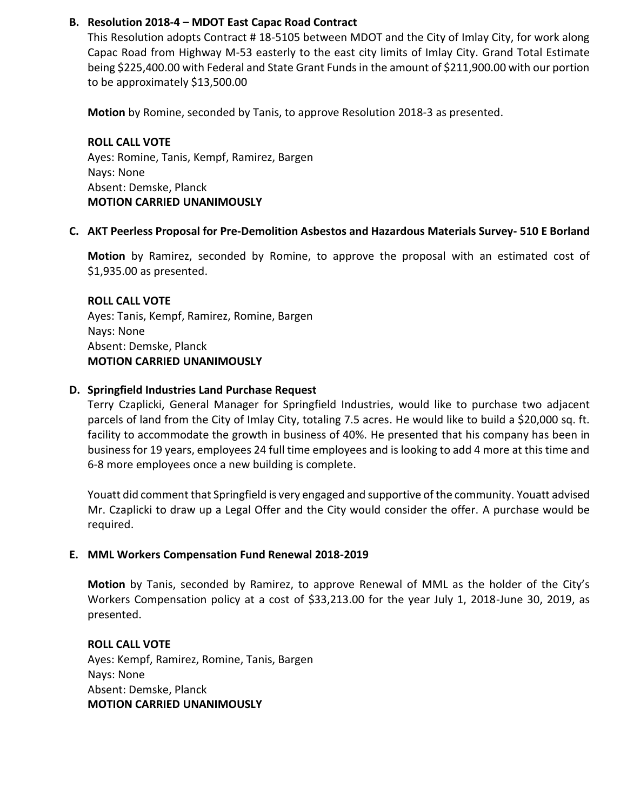# **B. Resolution 2018-4 – MDOT East Capac Road Contract**

This Resolution adopts Contract # 18-5105 between MDOT and the City of Imlay City, for work along Capac Road from Highway M-53 easterly to the east city limits of Imlay City. Grand Total Estimate being \$225,400.00 with Federal and State Grant Funds in the amount of \$211,900.00 with our portion to be approximately \$13,500.00

**Motion** by Romine, seconded by Tanis, to approve Resolution 2018-3 as presented.

**ROLL CALL VOTE** Ayes: Romine, Tanis, Kempf, Ramirez, Bargen Nays: None Absent: Demske, Planck **MOTION CARRIED UNANIMOUSLY**

# **C. AKT Peerless Proposal for Pre-Demolition Asbestos and Hazardous Materials Survey- 510 E Borland**

**Motion** by Ramirez, seconded by Romine, to approve the proposal with an estimated cost of \$1,935.00 as presented.

# **ROLL CALL VOTE** Ayes: Tanis, Kempf, Ramirez, Romine, Bargen

Nays: None Absent: Demske, Planck **MOTION CARRIED UNANIMOUSLY**

# **D. Springfield Industries Land Purchase Request**

Terry Czaplicki, General Manager for Springfield Industries, would like to purchase two adjacent parcels of land from the City of Imlay City, totaling 7.5 acres. He would like to build a \$20,000 sq. ft. facility to accommodate the growth in business of 40%. He presented that his company has been in business for 19 years, employees 24 full time employees and is looking to add 4 more at this time and 6-8 more employees once a new building is complete.

Youatt did comment that Springfield is very engaged and supportive of the community. Youatt advised Mr. Czaplicki to draw up a Legal Offer and the City would consider the offer. A purchase would be required.

# **E. MML Workers Compensation Fund Renewal 2018-2019**

**Motion** by Tanis, seconded by Ramirez, to approve Renewal of MML as the holder of the City's Workers Compensation policy at a cost of \$33,213.00 for the year July 1, 2018-June 30, 2019, as presented.

**ROLL CALL VOTE** Ayes: Kempf, Ramirez, Romine, Tanis, Bargen Nays: None Absent: Demske, Planck **MOTION CARRIED UNANIMOUSLY**